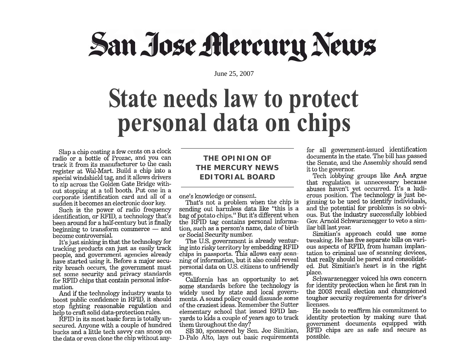# San Jose Mercury News

June 25, 2007

### **State needs law to protect** personal data on chips

Slap a chip costing a few cents on a clock radio or a bottle of Prozac, and you can track it from its manufacturer to the cash register at Wal-Mart. Build a chip into a special windshield tag, and it allows drivers to zip across the Golden Gate Bridge without stopping at a toll booth. Put one in a corporate identification card and all of a sudden it becomes an electronic door key.

Such is the power of radio frequency identification, or RFID, a technology that's been around for a half-century but is finally beginning to transform commerce  $-$  and become controversial.

It's just sinking in that the technology for tracking products can just as easily track people, and government agencies already have started using it. Before a major security breach occurs, the government must set some security and privacy standards for RFID chips that contain personal information.

And if the technology industry wants to boost public confidence in RFID, it should stop fighting reasonable regulation and help to craft solid data-protection rules.

RFID in its most basic form is totally unsecured. Anyone with a couple of hundred bucks and a little tech savvy can snoop on the data or even clone the chip without any-

#### **THE OPINION OF THE MERCURY NEWS EDITORIAL BOARD**

one's knowledge or consent.

That's not a problem when the chip is sending out harmless data like "this is a bag of potato chips." But it's different when the RFID tag contains personal information, such as a person's name, date of birth or Social Security number.

The U.S. government is already venturing into risky territory by embedding RFID chips in passports. This allows easy scanning of information, but it also could reveal personal data on U.S. citizens to unfriendly eves.

California has an opportunity to set some standards before the technology is widely used by state and local governments. A sound policy could dissuade some of the craziest ideas. Remember the Sutter elementary school that issued RFID lanvards to kids a couple of years ago to track them throughout the day?

SB 30, sponsored by Sen. Joe Simitian, D-Palo Alto, lays out basic requirements for all government-issued identification documents in the state. The bill has passed the Senate, and the Assembly should send it to the governor.

Tech lobbying groups like AeA argue that regulation is unnecessary because abuses haven't yet occurred. It's a ludicrous position. The technology is just beginning to be used to identify individuals, and the potential for problems is so obvious. But the industry successfully lobbied Gov. Arnold Schwarzenegger to veto a similar bill last year.

Simitian's approach could use some tweaking. He has five separate bills on various aspects of RFID, from human implantation to criminal use of scanning devices, that really should be pared and consolidated. But Simitian's heart is in the right place.

Schwarzenegger voiced his own concern for identity protection when he first ran in the 2003 recall election and championed tougher security requirements for driver's licenses.

He needs to reaffirm his commitment to identity protection by making sure that government documents equipped with RFID chips are as safe and secure as possible.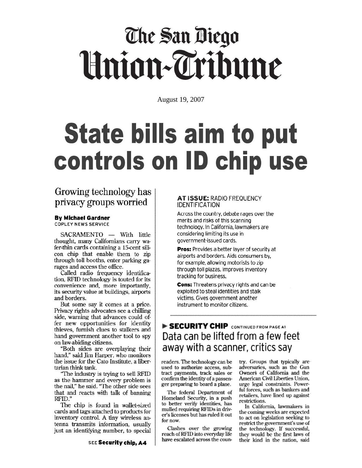## The San Diego Union-Tribune

August 19, 2007

### **State bills aim to put** controls on ID chip use

#### Growing technology has privacy groups worried

#### **By Michael Gardner**

**COPLEY NEWS SERVICE** 

SACRAMENTO - With little thought, many Californians carry wafer-thin cards containing a 15-cent silicon chip that enable them to zip through toll booths, enter parking garages and access the office.

Called radio frequency identification, RFID technology is touted for its convenience and, more importantly, its security value at buildings, airports and borders.

But some say it comes at a price. Privacy rights advocates see a chilling side, warning that advances could offer new opportunities for identity thieves, furnish clues to stalkers and hand government another tool to spy on law-abiding citizens.

"Both sides are overplaying their hand," said Jim Harper, who monitors the issue for the Cato Institute, a libertarian think tank.

"The industry is trying to sell RFID as the hammer and every problem is the nail," he said. "The other side sees that and reacts with talk of banning RFID."

The chip is found in wallet-sized cards and tags attached to products for inventory control. A tiny wireless antenna transmits information, usually just an identifying number, to special

#### AT ISSUE: RADIO FREQUENCY **IDENTIFICATION**

Across the country, debate rages over the merits and risks of this scanning technology. In California, lawmakers are considering limiting its use in government-issued cards.

Pros: Provides a better layer of security at airports and borders. Aids consumers by, for example, allowing motorists to zip through toll plazas. Improves inventory tracking for business.

**Cons:** Threatens privacy rights and can be exploited to steal identities and stalk victims. Gives government another instrument to monitor citizens.

#### SECURITY CHIP CONTINUED FROM PAGE AT Data can be lifted from a few feet away with a scanner, critics say

readers. The technology can be used to authorize access, subtract payments, track sales or confirm the identity of a passenger preparing to board a plane.

The federal Department of Homeland Security, in a push to better verify identities, has mulled requiring RFIDs in driver's licenses but has ruled it out for now.

Clashes over the growing reach of RFID into everyday life have escalated across the country. Groups that typically are adversaries, such as the Gun Owners of California and the American Civil Liberties Union, urge legal constraints. Powerful forces, such as bankers and retailers, have lined up against restrictions.

In California, lawmakers in the coming weeks are expected to act on legislation seeking to restrict the government's use of the technology. If successful, they would be the first laws of their kind in the nation, said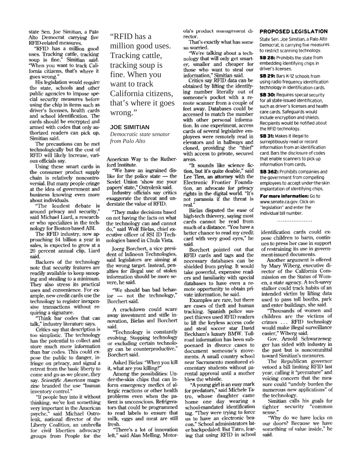state Sen. Joe Simitian, a Palo Alto Democrat carrying five RFID-related measures.

"RFID has a million good uses. Tracking cattle, tracking<br>soup is fine," Simitian said. "When you want to track California citizens, that's where it goes wrong."

His legislation would require the state, schools and other public agencies to impose special security measures before using the chip in items such as driver's licenses, health cards and school identification. The cards should be encrypted and armed with codes that only authorized readers can pick up, Simitian said.

The precautions can be met technologically but the cost of RFID will likely increase, various officials say.

Using these smart cards in the consumer product supply chain is relatively noncontroversial. But many people cringe at the idea of government and business knowing even more about individuals.

"The loudest debate is around privacy and security," said Michael Liard, a researcher who specializes in the technology for Boston-based ABI.

The RFID industry, now approaching \$4 billion a year in sales, is expected to grow at a 20 percent annual clip, Liard said.

Backers of the technology note that security features are readily available to keep snooping and stealing to a minimum. They also stress its practical uses and convenience. For example, new credit cards use the technology to register inexpensive transactions without requiring a signature.

"Think bar codes that can talk," industry literature says.

Critics say that description is too simplistic. The technology has the potential to collect and store much more information than bar codes. This could expose the public to danger, infringe on privacy, and signal a retreat from the basic liberty to come and go as we please, they say. Scientific American magazine branded the use "human inventory control."

"If people buy into it without thinking, we've lost something very important in the American psyche," said Michael Ostrolenk, national director of the Liberty Coalition, an umbrella for civil liberties advocacy groups from People for the

"RFID has a million good uses. Tracking cattle. tracking soup is fine. When you want to track California citizens. that's where it goes wrong."

#### **JOE SIMITIAN**

Democratic state senator from Palo Alto

American Way to the Rutherford Institute.

"We have an ingrained dislike for the police state - the Soviet Union 'show me your<br>papers' state," Ostrolenk said.<br>Industry officials say critics

exaggerate the threat and understate the value of RFID.

"They make decisions based on not having the facts on what the technology can and cannot do," said Wolf Bielas, chief executive officer of RSI ID Technologies based in Chula Vista.

Joerg Borchert, a vice president of Infineon Technologies, said legislators are aiming at the wrong target. Instead, penalties for illegal use of stolen information should be more severe, he said.

We should ban bad behavior - not the technology," Borchert said.

A crackdown could scare away investment and stifle innovation, Bielas and Borchert said.

"Technology is constantly evolving. Stopping technology or excluding certain technology can be counterproductive," Borchert said.

Asked Bielas: "When you kill it, what are you killing?

Among the possibilities: Under-the-skin chips that can inform emergency medics of allergic reactions or other health problems even when the patient is unconscious. Refrigerators that could be programmed to read labels to ensure that milk, eggs and meat are still fresh.

"There's a lot of innovation left," said Alan Melling, Motorola's product management director.

That's exactly what has some so worried.

We're talking about a technology that will only get smarter, smaller and cheaper for those who want to steal our information," Simitian said.<br>Critics say RFID data can be

obtained by lifting the identifying number literally out of someone's pocket with a remote scanner from a couple of feet away. Databases could be accessed to match the number with other personal information. In one experiment, access cards of several legislative employees were remotely read in elevators and in hallways and cloned, providing the "thief" with access to private, secured areas.

"It sounds like science fiction, but it's quite doable," said Lee Tien, an attorney with the Electronic Frontier Foundation, an advocate for privacy rights in the digital world. "It's not paranoia if the threat is real.'

Bielas disputed the ease of high-tech thievery, saying most cards cannot be read from much of a distance. "You have a better chance to read my credit card with very good eyes," he said.

Borchert pointed out that RFID cards and tags and the necessary databases can be shielded from prying. It would take powerful, expensive readers and familiarity with special databases to have even a remote opportunity to obtain private information, he said.

Examples are rare, but there are cases of theft and human tracking. Spanish police suspect thieves used RFID readers to lift the keyless access code and steal soccer star David Beckham's luxury BMW. Tollroad information has been subpoenaed in divorce cases to document someone's movements. A small country school near Sacramento monitored elementary students without parental approval until a mother blew the whistle.

"A young girl is an easy mark for predators," said Michele Tatro, whose daughter came home one day wearing a school-mandated identification tag. "They were trying to force us to have an electronic beacon." School administrators later backpedaled. But Tatro, fearing that using RFID in school

#### PROPOSED LEGISLATION

State Sen, Joe Simitian, a Palo Alto Democrat, is carrying five measures to restrict scanning technology.

SB 28: Prohibits the state from embedding identifying chips in driver's licenses.

SB 29: Bars K-12 schools from using radio frequency identification technology in identification cards.

SB 30: Requires special security for all state-issued identification. such as driver's licenses and health care cards. Safeguards would include encryption and shields. Recipients would be notified about the RFID technology.

SB 31: Makes it illegal to surreptitiously read or record information from an identification card. Bars the disclosure of codes that enable scanners to pick up information from cards.

SB 362: Prohibits companies and the government from compelling employees to accept under-the-skin implantation of identifying chips.

For more information: Go to www.senate.ca.gov. Click on "legislation" and enter the individual bill number.

identification cards could expose children to harm, continues to press her case in support of restraining its use in government-issued documents.

Another argument is offered by Mary Wiberg, executive director of the California Commission on the Status of Women, a state agency. A tech savvy stalker could track habits of an intended victim by lifting data used to pass toll booths, park and enter buildings, she said.

"Thousands of women and children are the victims of crimes ... RFID technology would make illegal surveillance easier," Wiberg said.

Gov. Arnold Schwarzenegger has sided with industry in the past but is noncommittal toward Simitian's measures.

The Republican governor vetoed a bill limiting RFID last year, calling it "premature" and voicing concern that the measure could "unduly burden the numerous new applications" of the technology.

Simitian calls his goals for tighter security "common sense.'

"Why do we have locks on our doors? Because we have something of value inside," he said.